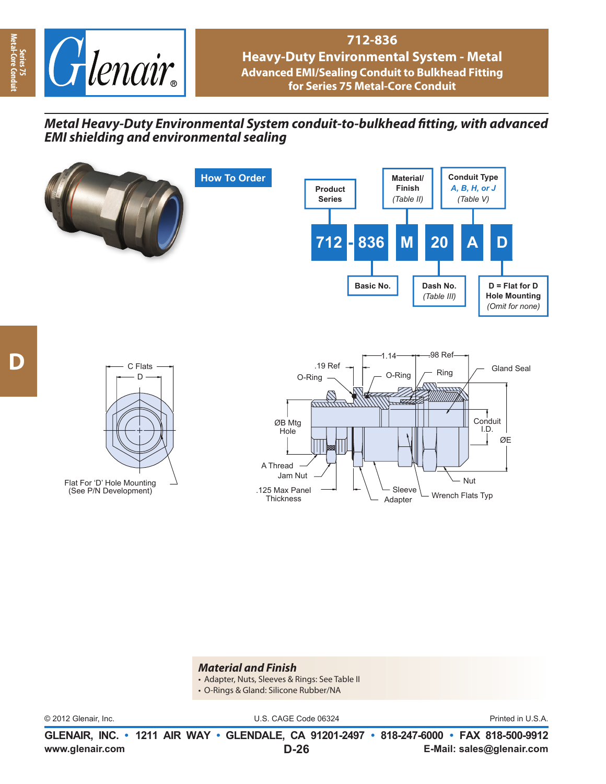

## **712-836 Heavy-Duty Environmental System - Metal Advanced EMI/Sealing Conduit to Bulkhead Fitting for Series 75 Metal-Core Conduit**

## *Metal Heavy-Duty Environmental System conduit-to-bulkhead fi tting, with advanced EMI shielding and environmental sealing*



## *Material and Finish*

- Adapter, Nuts, Sleeves & Rings: See Table II
- O-Rings & Gland: Silicone Rubber/NA

© 2012 Glenair, Inc. U.S. CAGE Code 06324 Printed in U.S.A.

**www.glenair.com E-Mail: sales@glenair.com GLENAIR, INC. • 1211 AIR WAY • GLENDALE, CA 91201-2497 • 818-247-6000 • FAX 818-500-9912 D-26**

**Series 75<br>Metal-Core Cor Metal-Core Conduit**